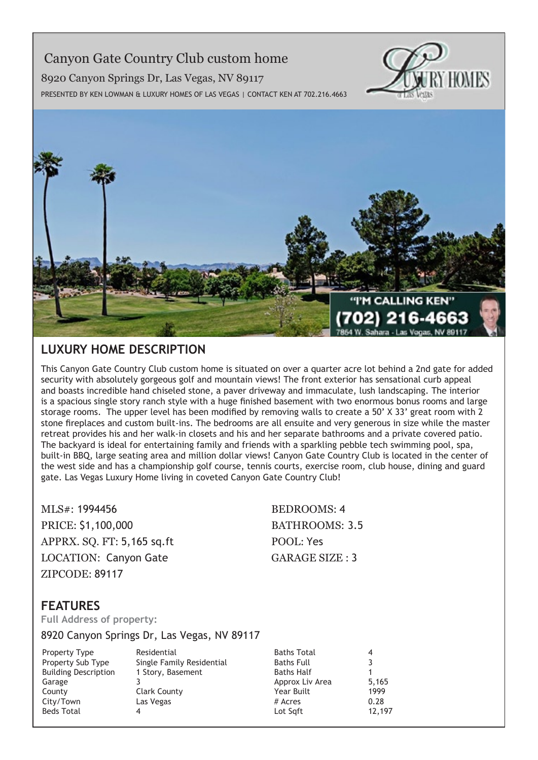# Canyon Gate Country Club custom home

8920 Canyon Springs Dr, Las Vegas, NV 89117



Presented by Ken Lowman & Luxury Homes of Las Vegas | Contact Ken at 702.216.4663



## **Luxury Home description**

This Canyon Gate Country Club custom home is situated on over a quarter acre lot behind a 2nd gate for added security with absolutely gorgeous golf and mountain views! The front exterior has sensational curb appeal and boasts incredible hand chiseled stone, a paver driveway and immaculate, lush landscaping. The interior is a spacious single story ranch style with a huge finished basement with two enormous bonus rooms and large storage rooms. The upper level has been modified by removing walls to create a 50' X 33' great room with 2 stone fireplaces and custom built-ins. The bedrooms are all ensuite and very generous in size while the master retreat provides his and her walk-in closets and his and her separate bathrooms and a private covered patio. The backyard is ideal for entertaining family and friends with a sparkling pebble tech swimming pool, spa, built-in BBQ, large seating area and million dollar views! Canyon Gate Country Club is located in the center of the west side and has a championship golf course, tennis courts, exercise room, club house, dining and guard gate. Las Vegas Luxury Home living in coveted Canyon Gate Country Club!

MLS#: 1994456 BEDROOMS: 4 PRICE: \$1,100,000 BATHROOMS: 3.5 APPRX. SO. FT: 5,165 sq.ft POOL: Yes LOCATION: Canyon Gate GARAGE SIZE : 3 ZIPCODE: 89117

### **features**

**Full Address of property:**

8920 Canyon Springs Dr, Las Vegas, NV 89117

Property Type Residential Building Description 1 Story, Basement Garage 3 County Clark County City/Town Las Vegas Beds Total 4

Property Sub Type Single Family Residential

Baths Total 4<br>Baths Full 3 Baths Full 3 Baths Half 1 Approx Liv Area 5,165 Year Built 1999 # Acres 0.28<br>
Lot Sqft 12.197 Lot Sqft